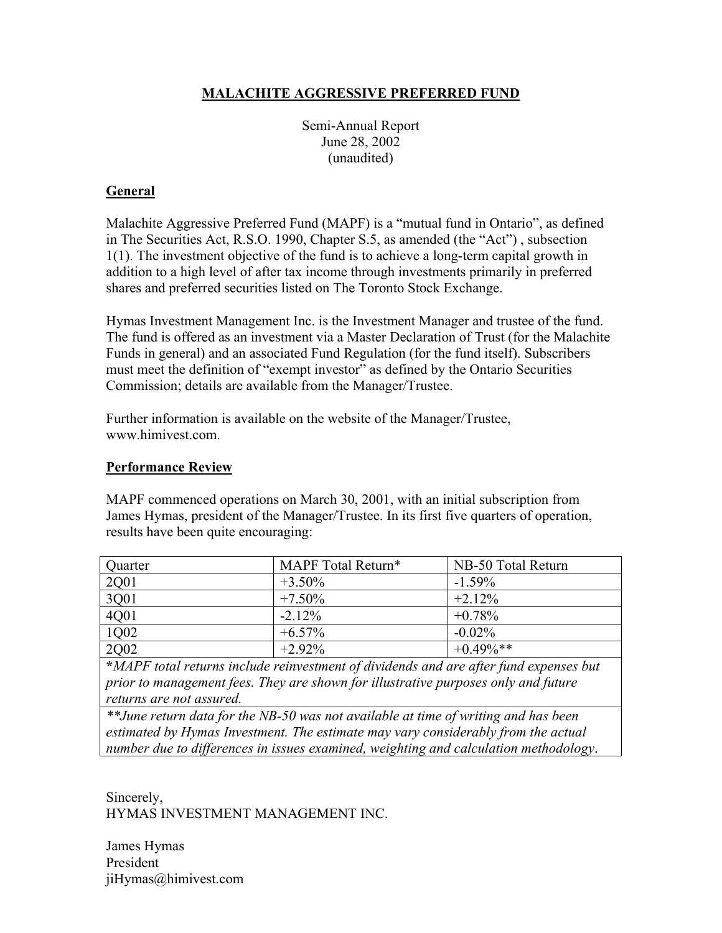# **MALACHITE AGGRESSIVE PREFERRED FUND**

Semi-Annual Report June 28, 2002 (unaudited)

## **General**

Malachite Aggressive Preferred Fund (MAPF) is a "mutual fund in Ontario", as defined in The Securities Act, R.S.O. 1990, Chapter S.5, as amended (the "Act") , subsection 1(1). The investment objective of the fund is to achieve a long-term capital growth in addition to a high level of after tax income through investments primarily in preferred shares and preferred securities listed on The Toronto Stock Exchange.

Hymas Investment Management Inc. is the Investment Manager and trustee of the fund. The fund is offered as an investment via a Master Declaration of Trust (for the Malachite Funds in general) and an associated Fund Regulation (for the fund itself). Subscribers must meet the definition of "exempt investor" as defined by the Ontario Securities Commission; details are available from the Manager/Trustee.

Further information is available on the website of the Manager/Trustee, www.himivest.com.

#### **Performance Review**

MAPF commenced operations on March 30, 2001, with an initial subscription from James Hymas, president of the Manager/Trustee. In its first five quarters of operation, results have been quite encouraging:

| Quarter | MAPF Total Return* | NB-50 Total Return |
|---------|--------------------|--------------------|
| 2Q01    | $+3.50\%$          | $-1.59\%$          |
| 3Q01    | $+7.50\%$          | $+2.12%$           |
| 4Q01    | $-2.12%$           | $+0.78%$           |
| 1Q02    | $+6.57\%$          | $-0.02%$           |
| 2Q02    | $+2.92\%$          | $+0.49\%$ **       |

**\****MAPF total returns include reinvestment of dividends and are after fund expenses but prior to management fees. They are shown for illustrative purposes only and future returns are not assured.*

*\*\*June return data for the NB-50 was not available at time of writing and has been estimated by Hymas Investment. The estimate may vary considerably from the actual number due to differences in issues examined, weighting and calculation methodology*.

Sincerely, HYMAS INVESTMENT MANAGEMENT INC.

James Hymas President jiHymas@himivest.com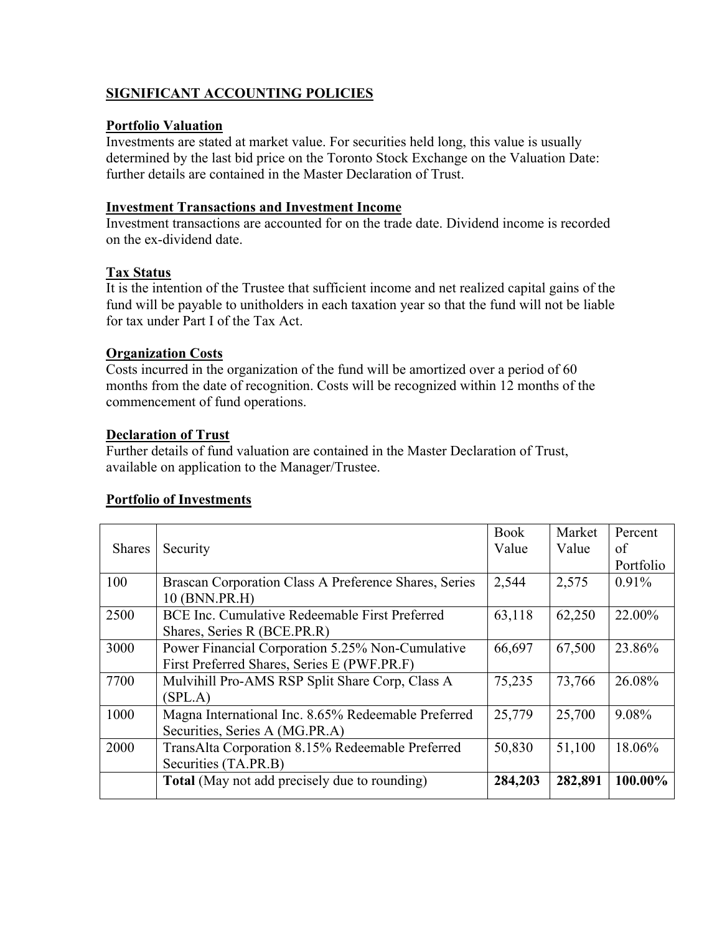# **SIGNIFICANT ACCOUNTING POLICIES**

### **Portfolio Valuation**

Investments are stated at market value. For securities held long, this value is usually determined by the last bid price on the Toronto Stock Exchange on the Valuation Date: further details are contained in the Master Declaration of Trust.

#### **Investment Transactions and Investment Income**

Investment transactions are accounted for on the trade date. Dividend income is recorded on the ex-dividend date.

### **Tax Status**

It is the intention of the Trustee that sufficient income and net realized capital gains of the fund will be payable to unitholders in each taxation year so that the fund will not be liable for tax under Part I of the Tax Act.

### **Organization Costs**

Costs incurred in the organization of the fund will be amortized over a period of 60 months from the date of recognition. Costs will be recognized within 12 months of the commencement of fund operations.

### **Declaration of Trust**

Further details of fund valuation are contained in the Master Declaration of Trust, available on application to the Manager/Trustee.

# **Portfolio of Investments**

|                                                       | <b>Book</b> | Market  | Percent   |
|-------------------------------------------------------|-------------|---------|-----------|
| Security                                              | Value       | Value   | of        |
|                                                       |             |         | Portfolio |
| Brascan Corporation Class A Preference Shares, Series | 2,544       | 2,575   | 0.91%     |
| 10 (BNN.PR.H)                                         |             |         |           |
| BCE Inc. Cumulative Redeemable First Preferred        | 63,118      | 62,250  | 22.00%    |
| Shares, Series R (BCE.PR.R)                           |             |         |           |
| Power Financial Corporation 5.25% Non-Cumulative      | 66,697      | 67,500  | 23.86%    |
| First Preferred Shares, Series E (PWF.PR.F)           |             |         |           |
| Mulvihill Pro-AMS RSP Split Share Corp, Class A       | 75,235      | 73,766  | 26.08%    |
| (SPL.A)                                               |             |         |           |
| Magna International Inc. 8.65% Redeemable Preferred   | 25,779      | 25,700  | 9.08%     |
| Securities, Series A (MG.PR.A)                        |             |         |           |
| TransAlta Corporation 8.15% Redeemable Preferred      | 50,830      | 51,100  | 18.06%    |
| Securities (TA.PR.B)                                  |             |         |           |
| <b>Total</b> (May not add precisely due to rounding)  | 284,203     | 282,891 | 100.00%   |
|                                                       |             |         |           |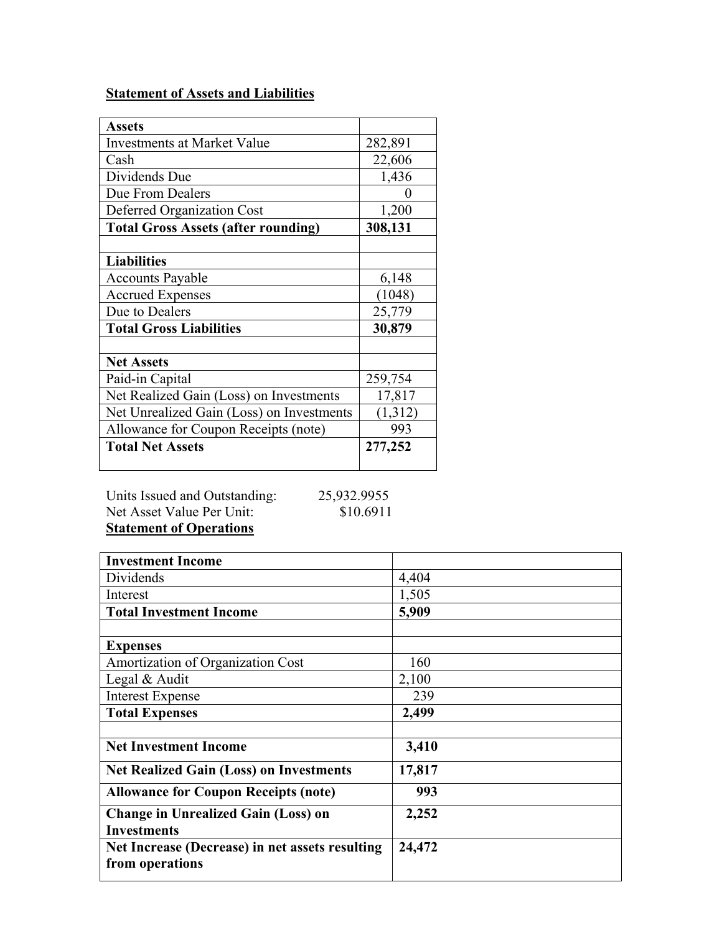# **Statement of Assets and Liabilities**

| <b>Assets</b>                              |         |
|--------------------------------------------|---------|
| <b>Investments at Market Value</b>         | 282,891 |
| Cash                                       | 22,606  |
| Dividends Due                              | 1,436   |
| Due From Dealers                           | 0       |
| <b>Deferred Organization Cost</b>          | 1,200   |
| <b>Total Gross Assets (after rounding)</b> | 308,131 |
|                                            |         |
| <b>Liabilities</b>                         |         |
| <b>Accounts Payable</b>                    | 6,148   |
| <b>Accrued Expenses</b>                    | (1048)  |
| Due to Dealers                             | 25,779  |
| <b>Total Gross Liabilities</b>             | 30,879  |
|                                            |         |
| <b>Net Assets</b>                          |         |
| Paid-in Capital                            | 259,754 |
| Net Realized Gain (Loss) on Investments    | 17,817  |
| Net Unrealized Gain (Loss) on Investments  | (1,312) |
| Allowance for Coupon Receipts (note)       | 993     |
| <b>Total Net Assets</b>                    | 277,252 |

Units Issued and Outstanding: 25,932.9955 Net Asset Value Per Unit: \$10.6911

**Statement of Operations**

| <b>Investment Income</b>                        |        |
|-------------------------------------------------|--------|
| Dividends                                       | 4,404  |
| Interest                                        | 1,505  |
| <b>Total Investment Income</b>                  | 5,909  |
|                                                 |        |
| <b>Expenses</b>                                 |        |
| Amortization of Organization Cost               | 160    |
| Legal & Audit                                   | 2,100  |
| <b>Interest Expense</b>                         | 239    |
| <b>Total Expenses</b>                           | 2,499  |
|                                                 |        |
| <b>Net Investment Income</b>                    | 3,410  |
| <b>Net Realized Gain (Loss) on Investments</b>  | 17,817 |
| <b>Allowance for Coupon Receipts (note)</b>     | 993    |
| <b>Change in Unrealized Gain (Loss) on</b>      | 2,252  |
| <b>Investments</b>                              |        |
| Net Increase (Decrease) in net assets resulting | 24,472 |
| from operations                                 |        |